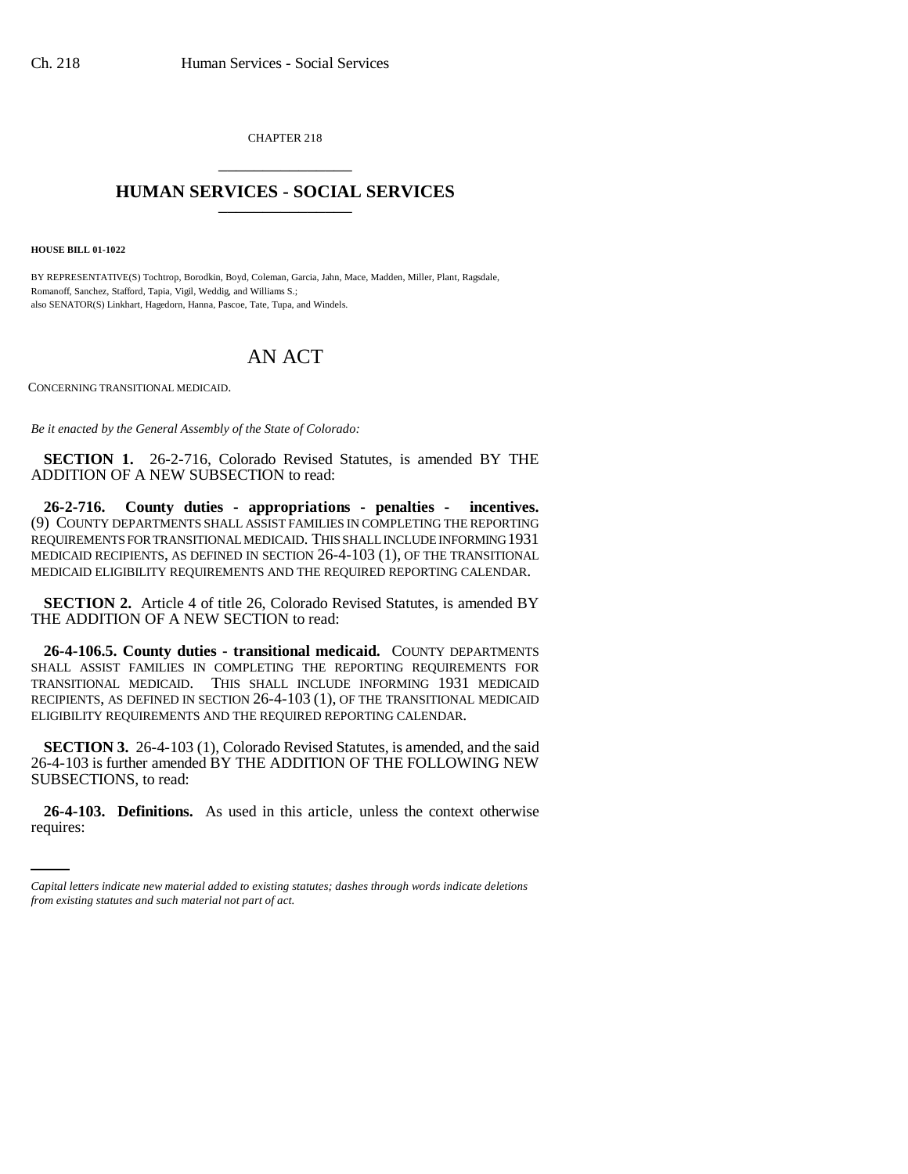CHAPTER 218 \_\_\_\_\_\_\_\_\_\_\_\_\_\_\_

## **HUMAN SERVICES - SOCIAL SERVICES** \_\_\_\_\_\_\_\_\_\_\_\_\_\_\_

**HOUSE BILL 01-1022**

BY REPRESENTATIVE(S) Tochtrop, Borodkin, Boyd, Coleman, Garcia, Jahn, Mace, Madden, Miller, Plant, Ragsdale, Romanoff, Sanchez, Stafford, Tapia, Vigil, Weddig, and Williams S.; also SENATOR(S) Linkhart, Hagedorn, Hanna, Pascoe, Tate, Tupa, and Windels.

## AN ACT

CONCERNING TRANSITIONAL MEDICAID.

*Be it enacted by the General Assembly of the State of Colorado:*

**SECTION 1.** 26-2-716, Colorado Revised Statutes, is amended BY THE ADDITION OF A NEW SUBSECTION to read:

**26-2-716. County duties - appropriations - penalties - incentives.** (9) COUNTY DEPARTMENTS SHALL ASSIST FAMILIES IN COMPLETING THE REPORTING REQUIREMENTS FOR TRANSITIONAL MEDICAID. THIS SHALL INCLUDE INFORMING 1931 MEDICAID RECIPIENTS, AS DEFINED IN SECTION 26-4-103 (1), OF THE TRANSITIONAL MEDICAID ELIGIBILITY REQUIREMENTS AND THE REQUIRED REPORTING CALENDAR.

**SECTION 2.** Article 4 of title 26, Colorado Revised Statutes, is amended BY THE ADDITION OF A NEW SECTION to read:

**26-4-106.5. County duties - transitional medicaid.** COUNTY DEPARTMENTS SHALL ASSIST FAMILIES IN COMPLETING THE REPORTING REQUIREMENTS FOR TRANSITIONAL MEDICAID. THIS SHALL INCLUDE INFORMING 1931 MEDICAID RECIPIENTS, AS DEFINED IN SECTION 26-4-103 (1), OF THE TRANSITIONAL MEDICAID ELIGIBILITY REQUIREMENTS AND THE REQUIRED REPORTING CALENDAR.

**SECTION 3.** 26-4-103 (1), Colorado Revised Statutes, is amended, and the said 26-4-103 is further amended BY THE ADDITION OF THE FOLLOWING NEW SUBSECTIONS, to read:

**26-4-103. Definitions.** As used in this article, unless the context otherwise requires:

*Capital letters indicate new material added to existing statutes; dashes through words indicate deletions from existing statutes and such material not part of act.*